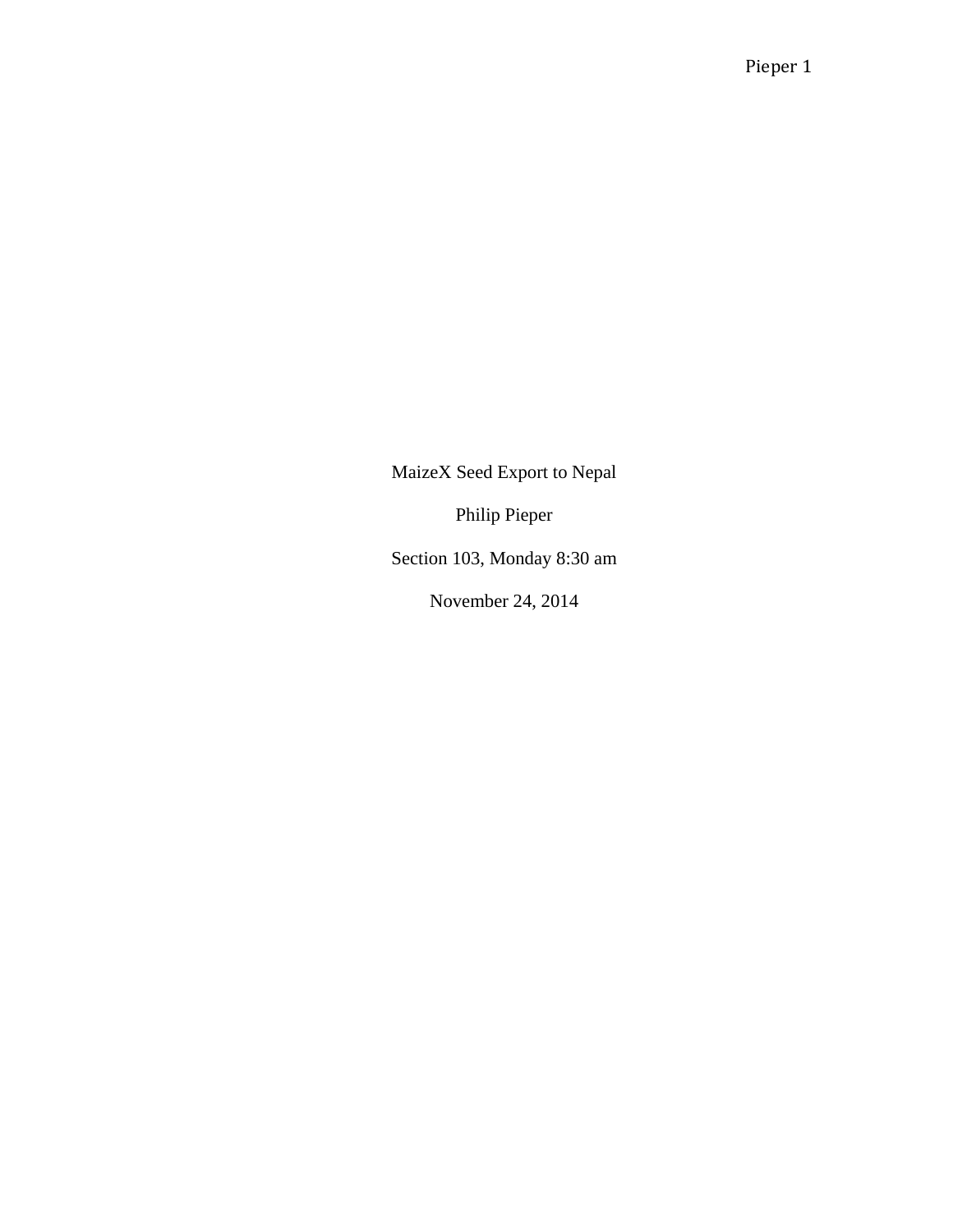MaizeX Seed Export to Nepal

Philip Pieper

Section 103, Monday 8:30 am

November 24, 2014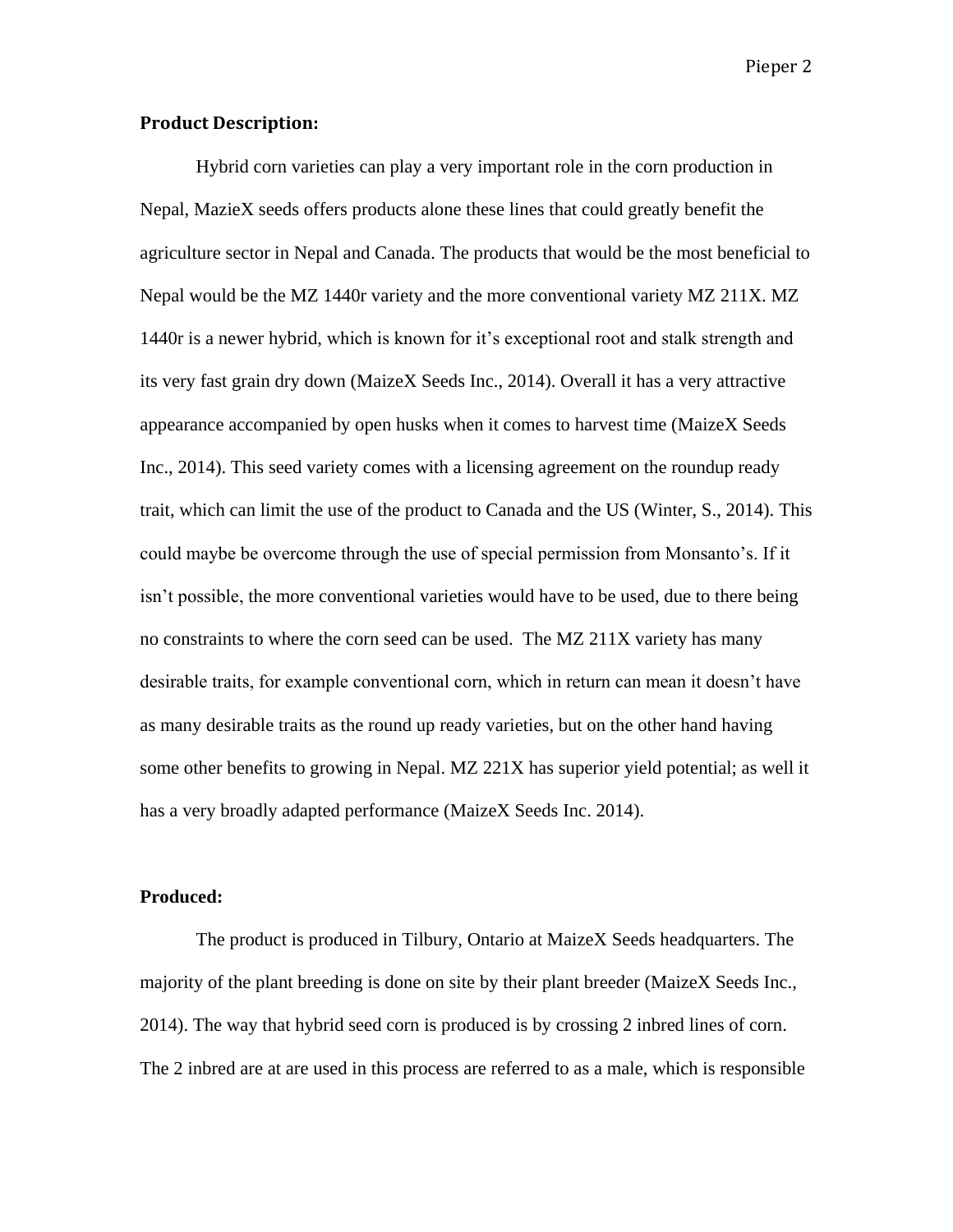### **Product Description:**

Hybrid corn varieties can play a very important role in the corn production in Nepal, MazieX seeds offers products alone these lines that could greatly benefit the agriculture sector in Nepal and Canada. The products that would be the most beneficial to Nepal would be the MZ 1440r variety and the more conventional variety MZ 211X. MZ 1440r is a newer hybrid, which is known for it's exceptional root and stalk strength and its very fast grain dry down (MaizeX Seeds Inc., 2014). Overall it has a very attractive appearance accompanied by open husks when it comes to harvest time (MaizeX Seeds Inc., 2014). This seed variety comes with a licensing agreement on the roundup ready trait, which can limit the use of the product to Canada and the US (Winter, S., 2014). This could maybe be overcome through the use of special permission from Monsanto's. If it isn't possible, the more conventional varieties would have to be used, due to there being no constraints to where the corn seed can be used. The MZ 211X variety has many desirable traits, for example conventional corn, which in return can mean it doesn't have as many desirable traits as the round up ready varieties, but on the other hand having some other benefits to growing in Nepal. MZ 221X has superior yield potential; as well it has a very broadly adapted performance (MaizeX Seeds Inc. 2014).

#### **Produced:**

The product is produced in Tilbury, Ontario at MaizeX Seeds headquarters. The majority of the plant breeding is done on site by their plant breeder (MaizeX Seeds Inc., 2014). The way that hybrid seed corn is produced is by crossing 2 inbred lines of corn. The 2 inbred are at are used in this process are referred to as a male, which is responsible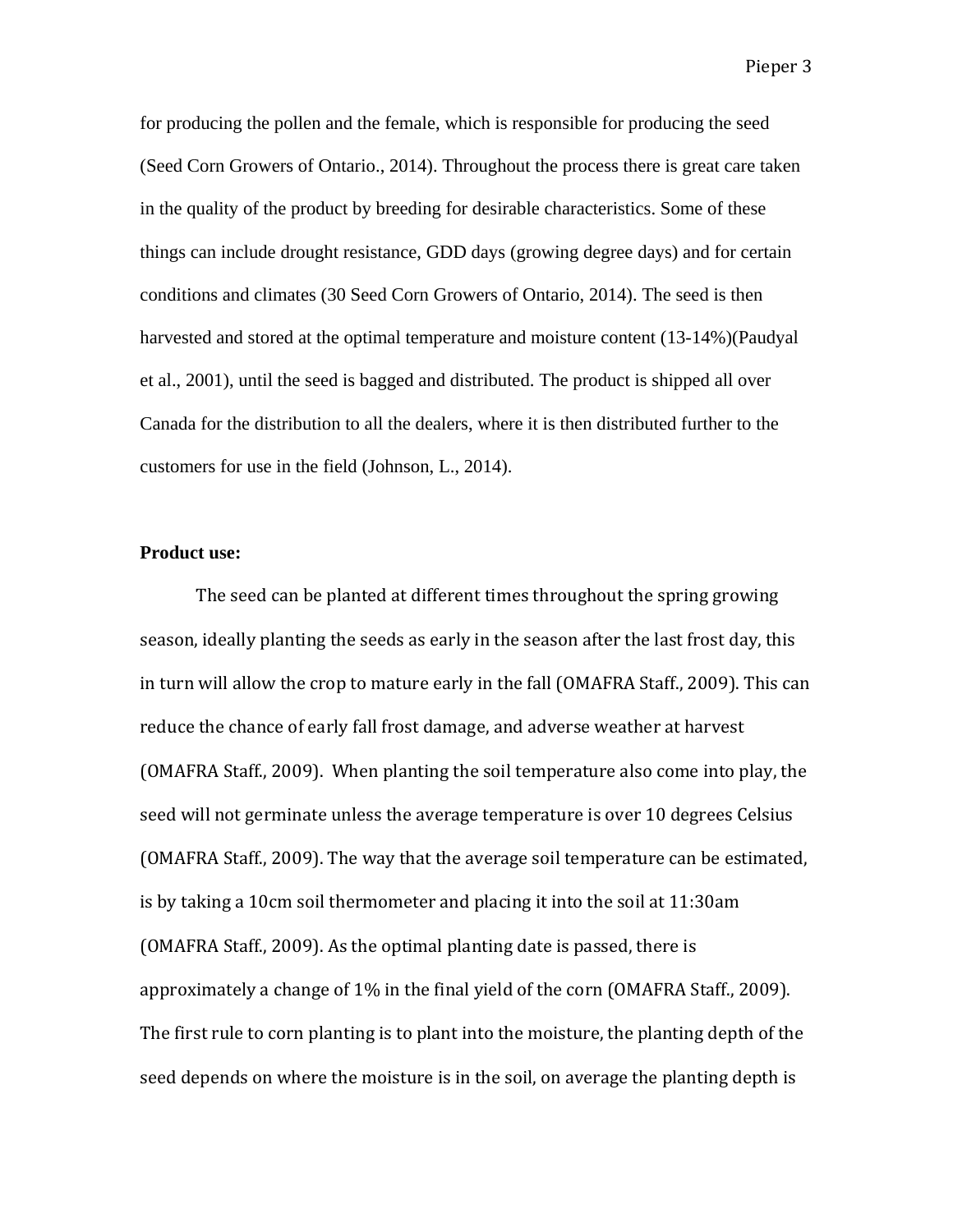for producing the pollen and the female, which is responsible for producing the seed (Seed Corn Growers of Ontario., 2014). Throughout the process there is great care taken in the quality of the product by breeding for desirable characteristics. Some of these things can include drought resistance, GDD days (growing degree days) and for certain conditions and climates (30 Seed Corn Growers of Ontario, 2014). The seed is then harvested and stored at the optimal temperature and moisture content (13-14%)(Paudyal et al., 2001), until the seed is bagged and distributed. The product is shipped all over Canada for the distribution to all the dealers, where it is then distributed further to the customers for use in the field (Johnson, L., 2014).

### **Product use:**

The seed can be planted at different times throughout the spring growing season, ideally planting the seeds as early in the season after the last frost day, this in turn will allow the crop to mature early in the fall (OMAFRA Staff., 2009). This can reduce the chance of early fall frost damage, and adverse weather at harvest (OMAFRA Staff., 2009). When planting the soil temperature also come into play, the seed will not germinate unless the average temperature is over 10 degrees Celsius (OMAFRA Staff., 2009). The way that the average soil temperature can be estimated, is by taking a 10cm soil thermometer and placing it into the soil at 11:30am (OMAFRA Staff., 2009). As the optimal planting date is passed, there is approximately a change of 1% in the final yield of the corn (OMAFRA Staff., 2009). The first rule to corn planting is to plant into the moisture, the planting depth of the seed depends on where the moisture is in the soil, on average the planting depth is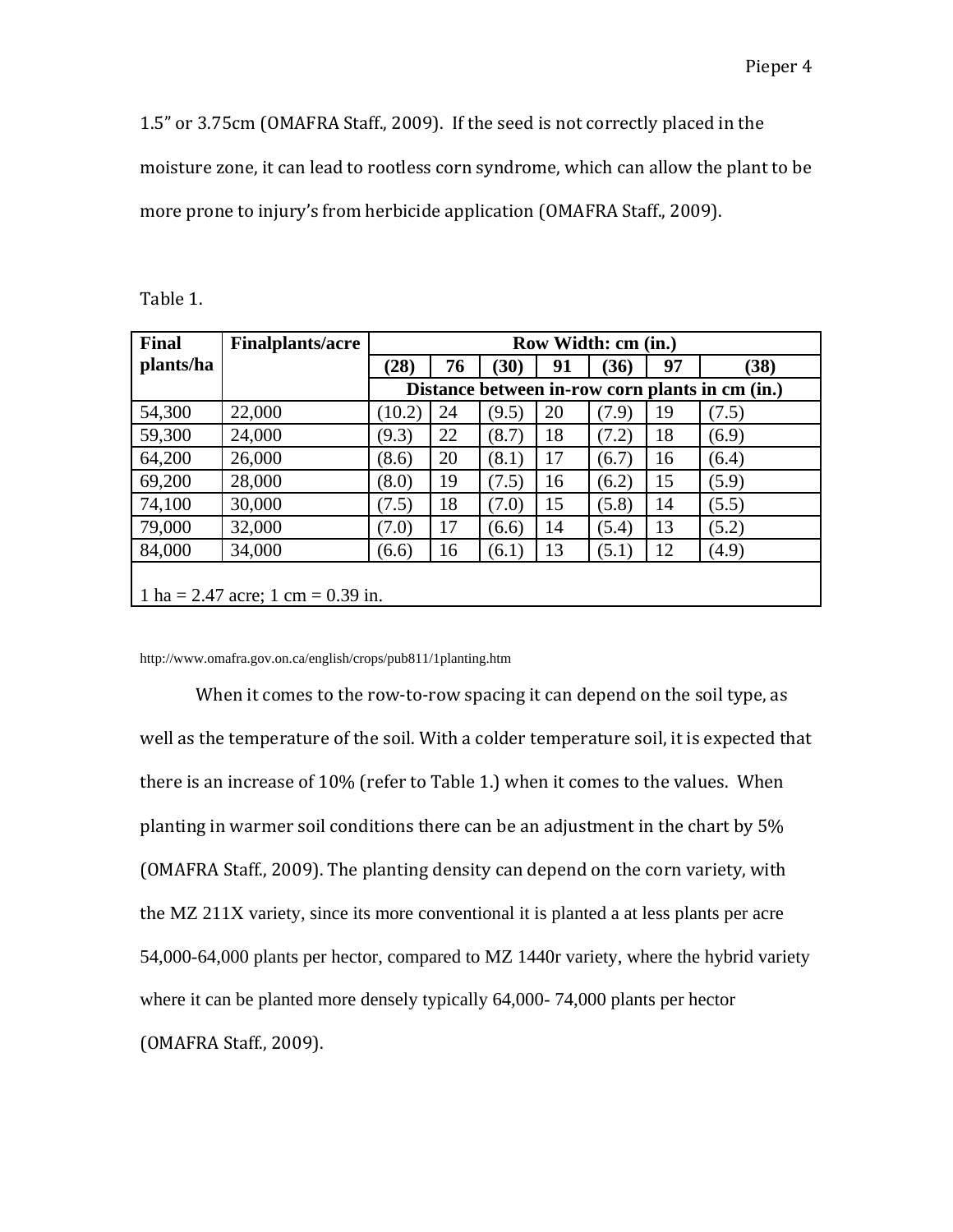1.5" or 3.75cm (OMAFRA Staff., 2009). If the seed is not correctly placed in the moisture zone, it can lead to rootless corn syndrome, which can allow the plant to be more prone to injury's from herbicide application (OMAFRA Staff., 2009).

| <b>Final</b>                        | <b>Finalplants/acre</b> | Row Width: cm (in.)                             |    |       |    |       |    |       |
|-------------------------------------|-------------------------|-------------------------------------------------|----|-------|----|-------|----|-------|
| plants/ha                           |                         | (28)                                            | 76 | (30)  | 91 | (36)  | 97 | (38)  |
|                                     |                         | Distance between in-row corn plants in cm (in.) |    |       |    |       |    |       |
| 54,300                              | 22,000                  | (10.2)                                          | 24 | (9.5) | 20 | (7.9) | 19 | (7.5) |
| 59,300                              | 24,000                  | (9.3)                                           | 22 | (8.7) | 18 | (7.2) | 18 | (6.9) |
| 64,200                              | 26,000                  | (8.6)                                           | 20 | (8.1) | 17 | (6.7) | 16 | (6.4) |
| 69,200                              | 28,000                  | (8.0)                                           | 19 | (7.5) | 16 | (6.2) | 15 | (5.9) |
| 74,100                              | 30,000                  | (7.5)                                           | 18 | (7.0) | 15 | (5.8) | 14 | (5.5) |
| 79,000                              | 32,000                  | (7.0)                                           | 17 | (6.6) | 14 | (5.4) | 13 | (5.2) |
| 84,000                              | 34,000                  | (6.6)                                           | 16 | (6.1) | 13 | (5.1) | 12 | (4.9) |
| 1 ha = 2.47 acre; 1 cm = $0.39$ in. |                         |                                                 |    |       |    |       |    |       |

Table 1.

http://www.omafra.gov.on.ca/english/crops/pub811/1planting.htm

When it comes to the row-to-row spacing it can depend on the soil type, as well as the temperature of the soil. With a colder temperature soil, it is expected that there is an increase of 10% (refer to Table 1.) when it comes to the values. When planting in warmer soil conditions there can be an adjustment in the chart by 5% (OMAFRA Staff., 2009). The planting density can depend on the corn variety, with the MZ 211X variety, since its more conventional it is planted a at less plants per acre 54,000-64,000 plants per hector, compared to MZ 1440r variety, where the hybrid variety where it can be planted more densely typically 64,000- 74,000 plants per hector (OMAFRA Staff., 2009).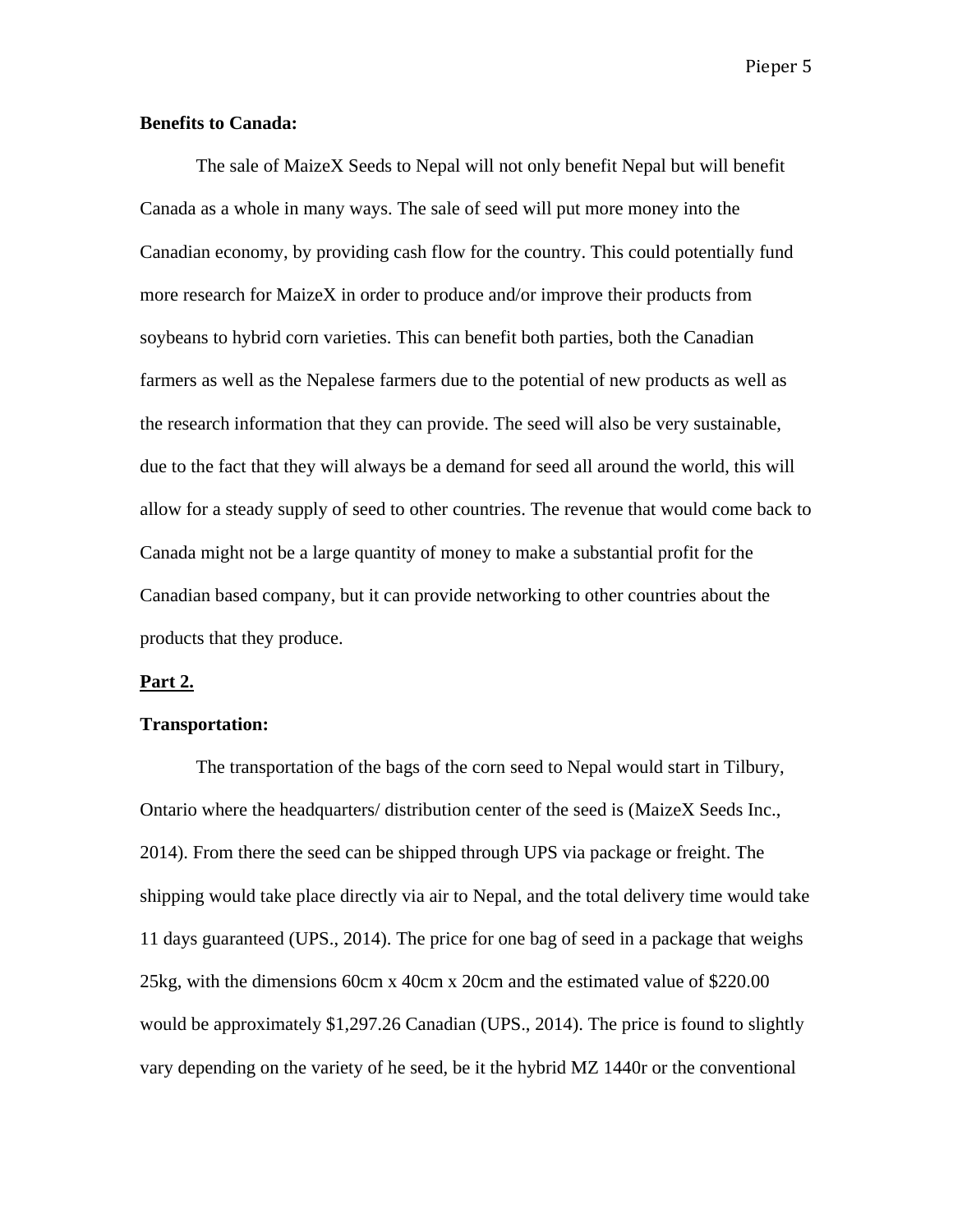# **Benefits to Canada:**

The sale of MaizeX Seeds to Nepal will not only benefit Nepal but will benefit Canada as a whole in many ways. The sale of seed will put more money into the Canadian economy, by providing cash flow for the country. This could potentially fund more research for MaizeX in order to produce and/or improve their products from soybeans to hybrid corn varieties. This can benefit both parties, both the Canadian farmers as well as the Nepalese farmers due to the potential of new products as well as the research information that they can provide. The seed will also be very sustainable, due to the fact that they will always be a demand for seed all around the world, this will allow for a steady supply of seed to other countries. The revenue that would come back to Canada might not be a large quantity of money to make a substantial profit for the Canadian based company, but it can provide networking to other countries about the products that they produce.

#### **Part 2.**

# **Transportation:**

The transportation of the bags of the corn seed to Nepal would start in Tilbury, Ontario where the headquarters/ distribution center of the seed is (MaizeX Seeds Inc., 2014). From there the seed can be shipped through UPS via package or freight. The shipping would take place directly via air to Nepal, and the total delivery time would take 11 days guaranteed (UPS., 2014). The price for one bag of seed in a package that weighs 25kg, with the dimensions 60cm x 40cm x 20cm and the estimated value of \$220.00 would be approximately \$1,297.26 Canadian (UPS., 2014). The price is found to slightly vary depending on the variety of he seed, be it the hybrid MZ 1440r or the conventional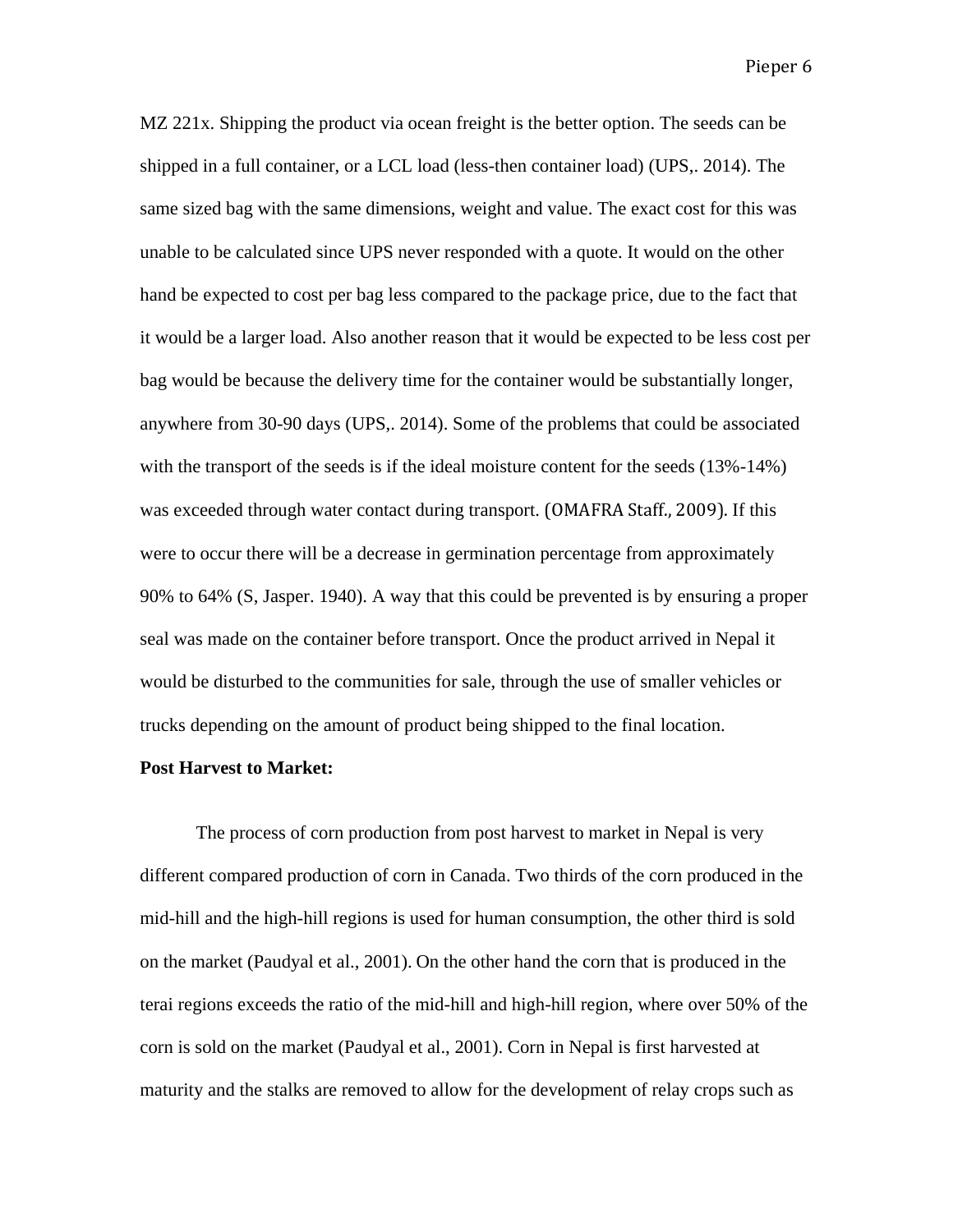MZ 221x. Shipping the product via ocean freight is the better option. The seeds can be shipped in a full container, or a LCL load (less-then container load) (UPS,. 2014). The same sized bag with the same dimensions, weight and value. The exact cost for this was unable to be calculated since UPS never responded with a quote. It would on the other hand be expected to cost per bag less compared to the package price, due to the fact that it would be a larger load. Also another reason that it would be expected to be less cost per bag would be because the delivery time for the container would be substantially longer, anywhere from 30-90 days (UPS,. 2014). Some of the problems that could be associated with the transport of the seeds is if the ideal moisture content for the seeds  $(13\% - 14\%)$ was exceeded through water contact during transport. (OMAFRA Staff., 2009). If this were to occur there will be a decrease in germination percentage from approximately 90% to 64% (S, Jasper. 1940). A way that this could be prevented is by ensuring a proper seal was made on the container before transport. Once the product arrived in Nepal it would be disturbed to the communities for sale, through the use of smaller vehicles or trucks depending on the amount of product being shipped to the final location.

### **Post Harvest to Market:**

The process of corn production from post harvest to market in Nepal is very different compared production of corn in Canada. Two thirds of the corn produced in the mid-hill and the high-hill regions is used for human consumption, the other third is sold on the market (Paudyal et al., 2001). On the other hand the corn that is produced in the terai regions exceeds the ratio of the mid-hill and high-hill region, where over 50% of the corn is sold on the market (Paudyal et al., 2001). Corn in Nepal is first harvested at maturity and the stalks are removed to allow for the development of relay crops such as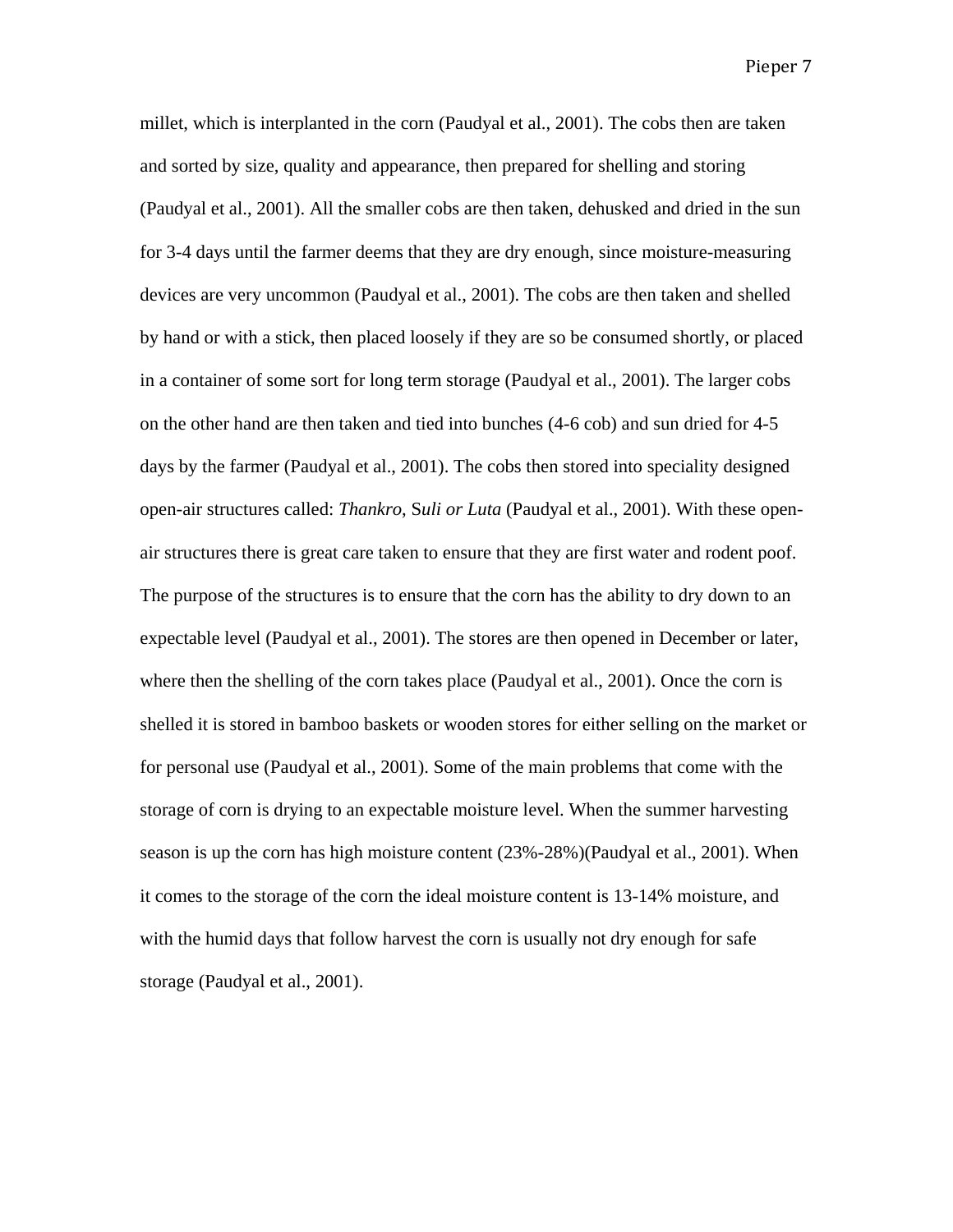millet, which is interplanted in the corn (Paudyal et al., 2001). The cobs then are taken and sorted by size, quality and appearance, then prepared for shelling and storing (Paudyal et al., 2001). All the smaller cobs are then taken, dehusked and dried in the sun for 3-4 days until the farmer deems that they are dry enough, since moisture-measuring devices are very uncommon (Paudyal et al., 2001). The cobs are then taken and shelled by hand or with a stick, then placed loosely if they are so be consumed shortly, or placed in a container of some sort for long term storage (Paudyal et al., 2001). The larger cobs on the other hand are then taken and tied into bunches (4-6 cob) and sun dried for 4-5 days by the farmer (Paudyal et al., 2001). The cobs then stored into speciality designed open-air structures called: *Thankro*, S*uli or Luta* (Paudyal et al., 2001). With these openair structures there is great care taken to ensure that they are first water and rodent poof. The purpose of the structures is to ensure that the corn has the ability to dry down to an expectable level (Paudyal et al., 2001). The stores are then opened in December or later, where then the shelling of the corn takes place (Paudyal et al., 2001). Once the corn is shelled it is stored in bamboo baskets or wooden stores for either selling on the market or for personal use (Paudyal et al., 2001). Some of the main problems that come with the storage of corn is drying to an expectable moisture level. When the summer harvesting season is up the corn has high moisture content (23%-28%)(Paudyal et al., 2001). When it comes to the storage of the corn the ideal moisture content is 13-14% moisture, and with the humid days that follow harvest the corn is usually not dry enough for safe storage (Paudyal et al., 2001).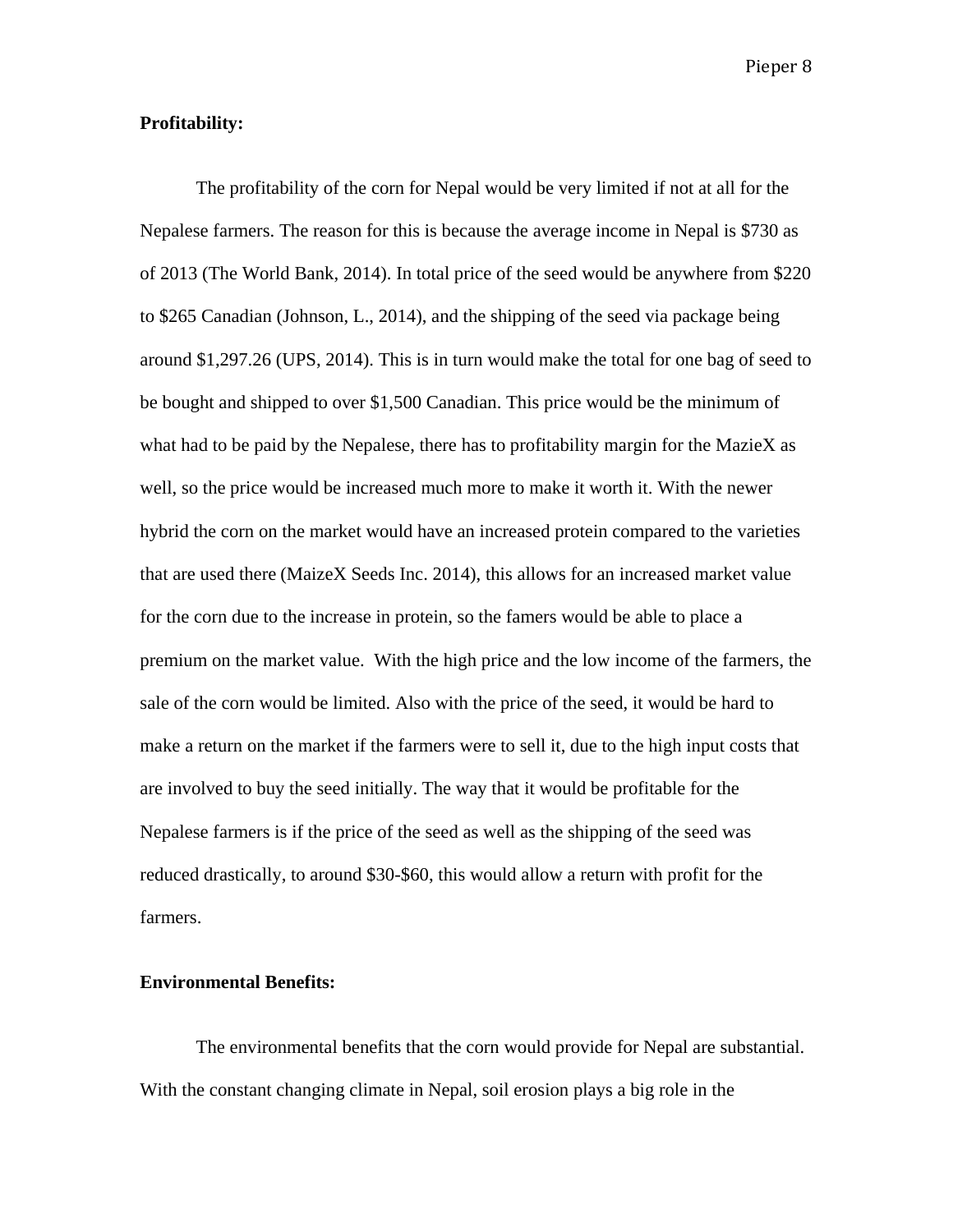# **Profitability:**

The profitability of the corn for Nepal would be very limited if not at all for the Nepalese farmers. The reason for this is because the average income in Nepal is \$730 as of 2013 (The World Bank, 2014). In total price of the seed would be anywhere from \$220 to \$265 Canadian (Johnson, L., 2014), and the shipping of the seed via package being around \$1,297.26 (UPS, 2014). This is in turn would make the total for one bag of seed to be bought and shipped to over \$1,500 Canadian. This price would be the minimum of what had to be paid by the Nepalese, there has to profitability margin for the MazieX as well, so the price would be increased much more to make it worth it. With the newer hybrid the corn on the market would have an increased protein compared to the varieties that are used there (MaizeX Seeds Inc. 2014), this allows for an increased market value for the corn due to the increase in protein, so the famers would be able to place a premium on the market value. With the high price and the low income of the farmers, the sale of the corn would be limited. Also with the price of the seed, it would be hard to make a return on the market if the farmers were to sell it, due to the high input costs that are involved to buy the seed initially. The way that it would be profitable for the Nepalese farmers is if the price of the seed as well as the shipping of the seed was reduced drastically, to around \$30-\$60, this would allow a return with profit for the farmers.

# **Environmental Benefits:**

The environmental benefits that the corn would provide for Nepal are substantial. With the constant changing climate in Nepal, soil erosion plays a big role in the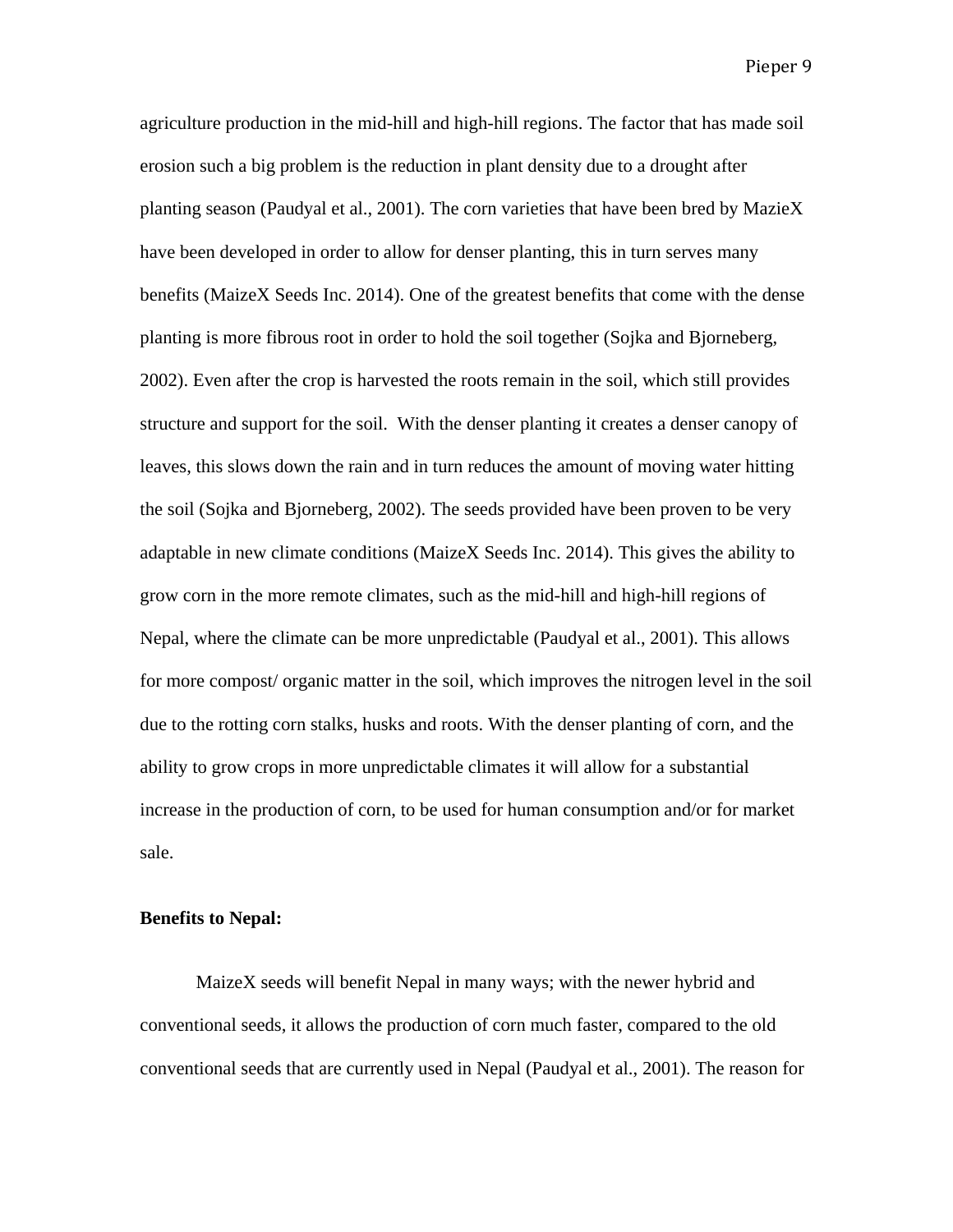agriculture production in the mid-hill and high-hill regions. The factor that has made soil erosion such a big problem is the reduction in plant density due to a drought after planting season (Paudyal et al., 2001). The corn varieties that have been bred by MazieX have been developed in order to allow for denser planting, this in turn serves many benefits (MaizeX Seeds Inc. 2014). One of the greatest benefits that come with the dense planting is more fibrous root in order to hold the soil together (Sojka and Bjorneberg, 2002). Even after the crop is harvested the roots remain in the soil, which still provides structure and support for the soil. With the denser planting it creates a denser canopy of leaves, this slows down the rain and in turn reduces the amount of moving water hitting the soil (Sojka and Bjorneberg, 2002). The seeds provided have been proven to be very adaptable in new climate conditions (MaizeX Seeds Inc. 2014). This gives the ability to grow corn in the more remote climates, such as the mid-hill and high-hill regions of Nepal, where the climate can be more unpredictable (Paudyal et al., 2001). This allows for more compost/ organic matter in the soil, which improves the nitrogen level in the soil due to the rotting corn stalks, husks and roots. With the denser planting of corn, and the ability to grow crops in more unpredictable climates it will allow for a substantial increase in the production of corn, to be used for human consumption and/or for market sale.

# **Benefits to Nepal:**

MaizeX seeds will benefit Nepal in many ways; with the newer hybrid and conventional seeds, it allows the production of corn much faster, compared to the old conventional seeds that are currently used in Nepal (Paudyal et al., 2001). The reason for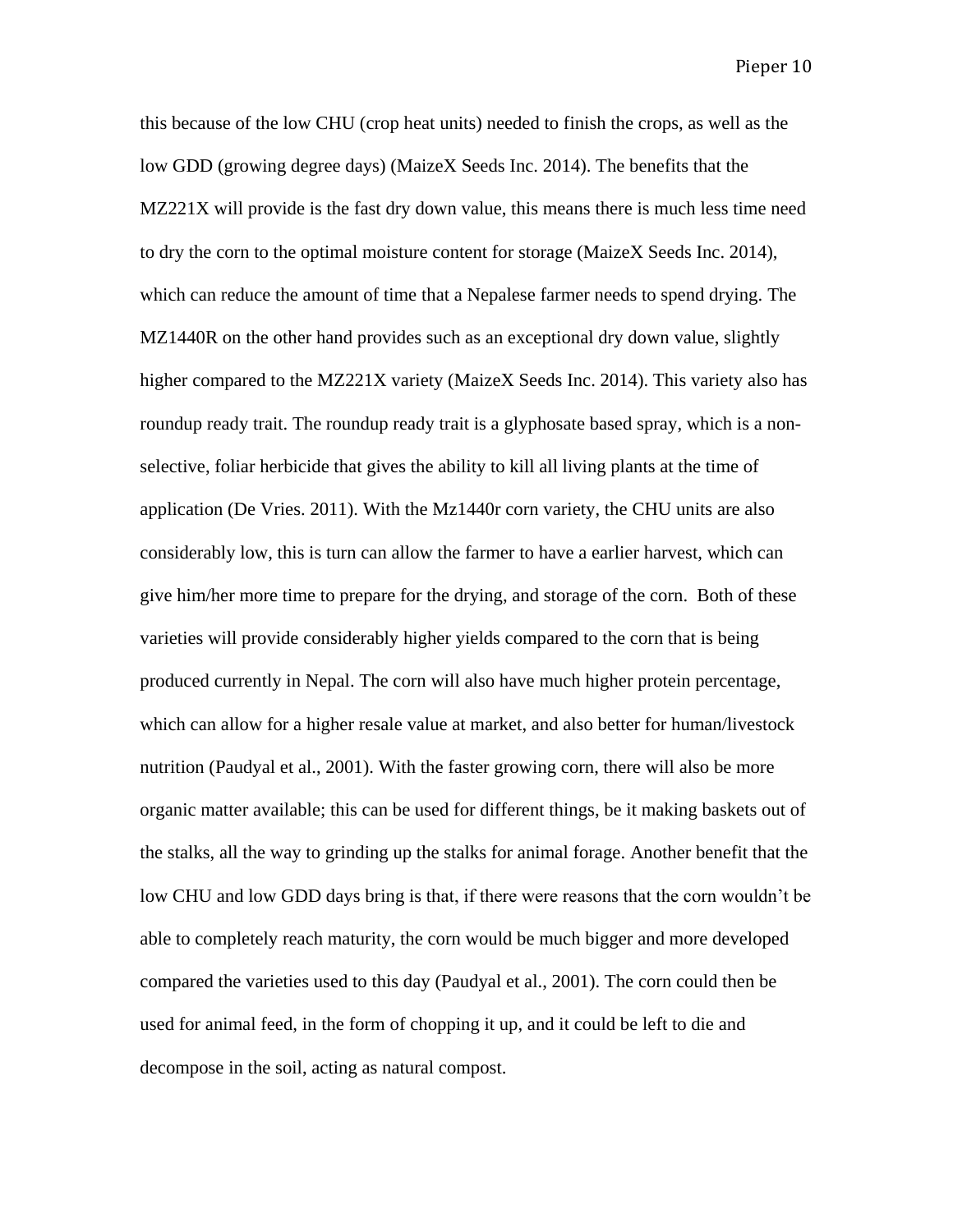this because of the low CHU (crop heat units) needed to finish the crops, as well as the low GDD (growing degree days) (MaizeX Seeds Inc. 2014). The benefits that the MZ221X will provide is the fast dry down value, this means there is much less time need to dry the corn to the optimal moisture content for storage (MaizeX Seeds Inc. 2014), which can reduce the amount of time that a Nepalese farmer needs to spend drying. The MZ1440R on the other hand provides such as an exceptional dry down value, slightly higher compared to the MZ221X variety (MaizeX Seeds Inc. 2014). This variety also has roundup ready trait. The roundup ready trait is a glyphosate based spray, which is a nonselective, foliar herbicide that gives the ability to kill all living plants at the time of application (De Vries. 2011). With the Mz1440r corn variety, the CHU units are also considerably low, this is turn can allow the farmer to have a earlier harvest, which can give him/her more time to prepare for the drying, and storage of the corn. Both of these varieties will provide considerably higher yields compared to the corn that is being produced currently in Nepal. The corn will also have much higher protein percentage, which can allow for a higher resale value at market, and also better for human/livestock nutrition (Paudyal et al., 2001). With the faster growing corn, there will also be more organic matter available; this can be used for different things, be it making baskets out of the stalks, all the way to grinding up the stalks for animal forage. Another benefit that the low CHU and low GDD days bring is that, if there were reasons that the corn wouldn't be able to completely reach maturity, the corn would be much bigger and more developed compared the varieties used to this day (Paudyal et al., 2001). The corn could then be used for animal feed, in the form of chopping it up, and it could be left to die and decompose in the soil, acting as natural compost.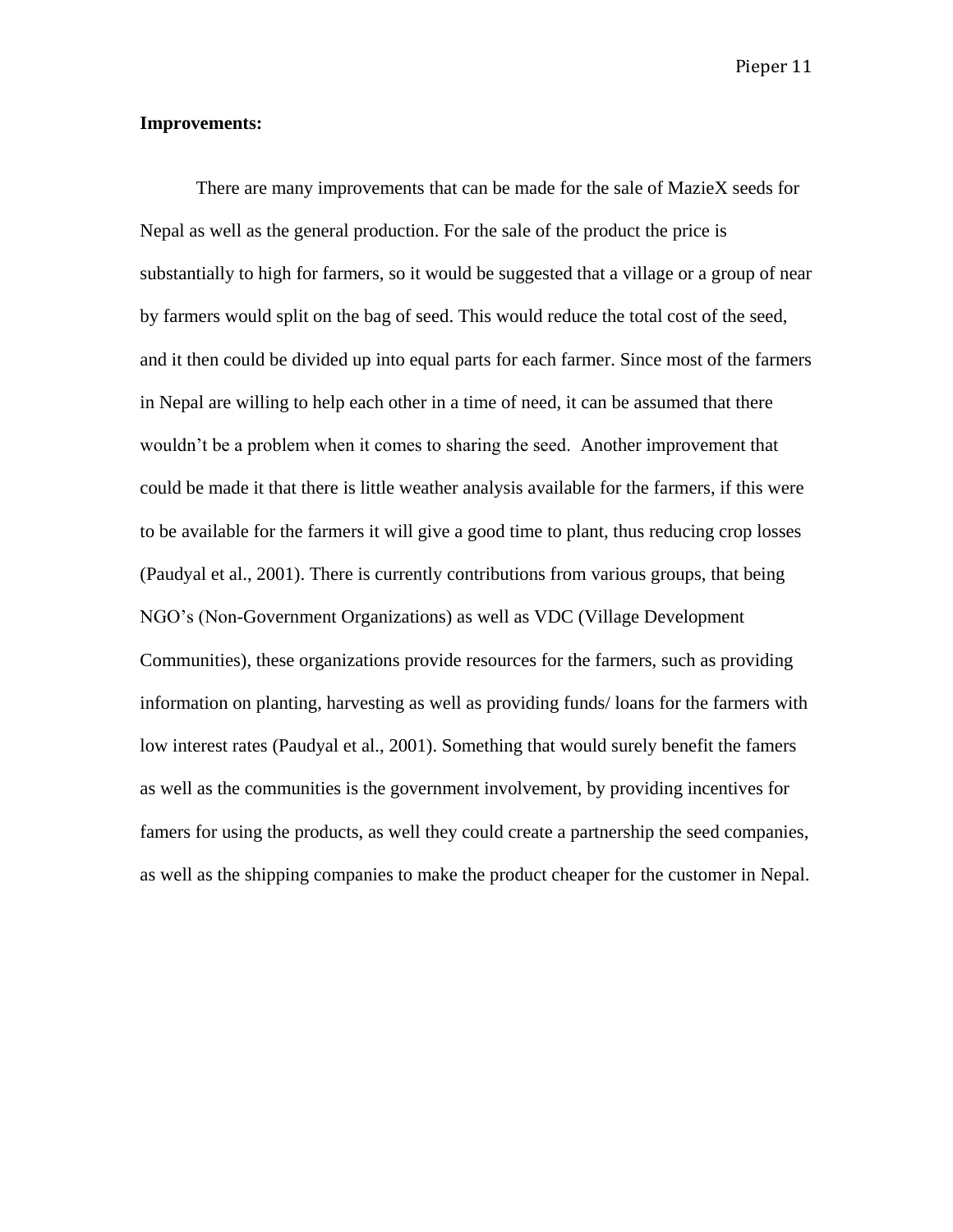# **Improvements:**

There are many improvements that can be made for the sale of MazieX seeds for Nepal as well as the general production. For the sale of the product the price is substantially to high for farmers, so it would be suggested that a village or a group of near by farmers would split on the bag of seed. This would reduce the total cost of the seed, and it then could be divided up into equal parts for each farmer. Since most of the farmers in Nepal are willing to help each other in a time of need, it can be assumed that there wouldn't be a problem when it comes to sharing the seed. Another improvement that could be made it that there is little weather analysis available for the farmers, if this were to be available for the farmers it will give a good time to plant, thus reducing crop losses (Paudyal et al., 2001). There is currently contributions from various groups, that being NGO's (Non-Government Organizations) as well as VDC (Village Development Communities), these organizations provide resources for the farmers, such as providing information on planting, harvesting as well as providing funds/ loans for the farmers with low interest rates (Paudyal et al., 2001). Something that would surely benefit the famers as well as the communities is the government involvement, by providing incentives for famers for using the products, as well they could create a partnership the seed companies, as well as the shipping companies to make the product cheaper for the customer in Nepal.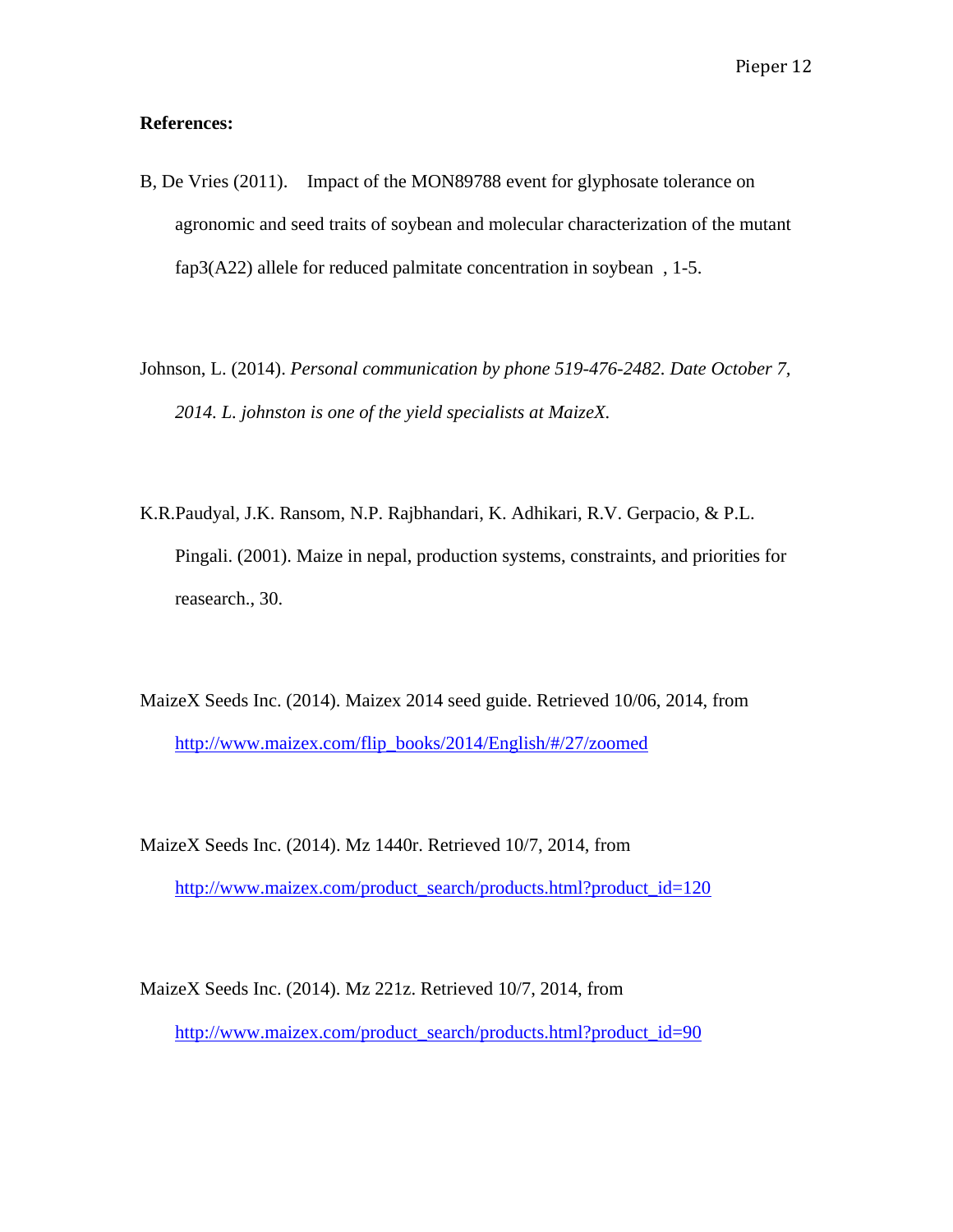# **References:**

- B, De Vries (2011). Impact of the MON89788 event for glyphosate tolerance on agronomic and seed traits of soybean and molecular characterization of the mutant fap3(A22) allele for reduced palmitate concentration in soybean , 1-5.
- Johnson, L. (2014). *Personal communication by phone 519-476-2482. Date October 7, 2014. L. johnston is one of the yield specialists at MaizeX.*
- K.R.Paudyal, J.K. Ransom, N.P. Rajbhandari, K. Adhikari, R.V. Gerpacio, & P.L. Pingali. (2001). Maize in nepal, production systems, constraints, and priorities for reasearch., 30.
- MaizeX Seeds Inc. (2014). Maizex 2014 seed guide. Retrieved 10/06, 2014, from [http://www.maizex.com/flip\\_books/2014/English/#/27/zoomed](http://www.maizex.com/flip_books/2014/English/)
- MaizeX Seeds Inc. (2014). Mz 1440r. Retrieved 10/7, 2014, from [http://www.maizex.com/product\\_search/products.html?product\\_id=120](http://www.maizex.com/product_search/products.html?product_id=120%22%20%5Ct%20%22_blank)

MaizeX Seeds Inc. (2014). Mz 221z. Retrieved 10/7, 2014, from [http://www.maizex.com/product\\_search/products.html?product\\_id=90](http://www.maizex.com/product_search/products.html?product_id=90%22%20%5Ct%20%22_blank)